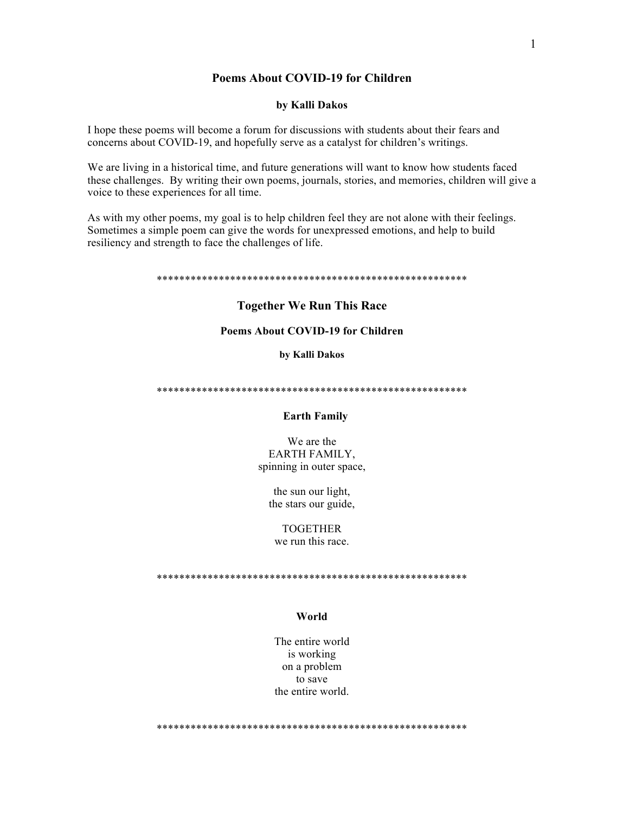## **Poems About COVID-19 for Children**

### by Kalli Dakos

I hope these poems will become a forum for discussions with students about their fears and concerns about COVID-19, and hopefully serve as a catalyst for children's writings.

We are living in a historical time, and future generations will want to know how students faced these challenges. By writing their own poems, journals, stories, and memories, children will give a voice to these experiences for all time.

As with my other poems, my goal is to help children feel they are not alone with their feelings. Sometimes a simple poem can give the words for unexpressed emotions, and help to build resiliency and strength to face the challenges of life.

#### 

## **Together We Run This Race**

### **Poems About COVID-19 for Children**

by Kalli Dakos

## **Earth Family**

We are the EARTH FAMILY, spinning in outer space,

the sun our light, the stars our guide,

**TOGETHER** we run this race.

### World

The entire world is working on a problem to save the entire world

 $\mathbf{1}$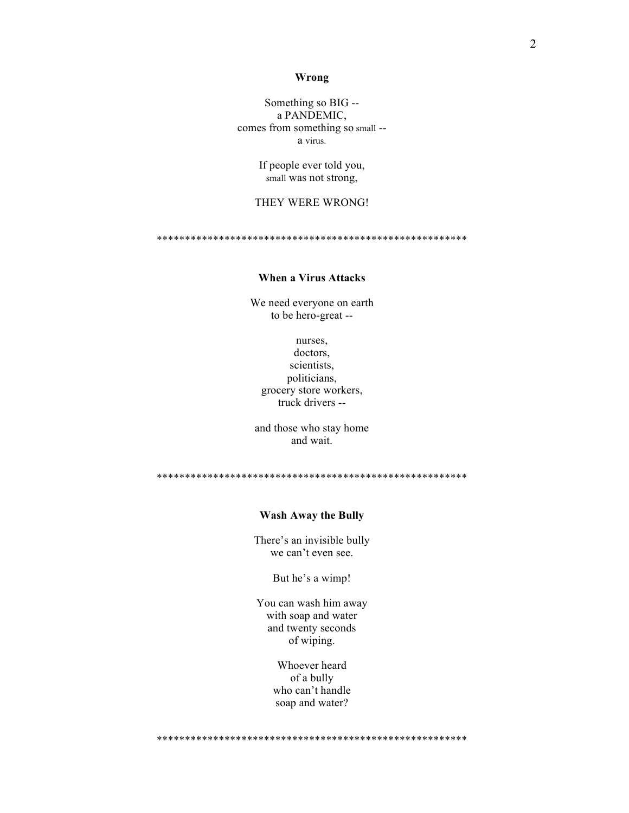#### Wrong

Something so BIG -a PANDEMIC, comes from something so small -a virus.

> If people ever told you, small was not strong,

## THEY WERE WRONG!

## **When a Virus Attacks**

We need everyone on earth to be hero-great --

nurses, doctors, scientists. politicians, grocery store workers, truck drivers --

and those who stay home and wait.

## **Wash Away the Bully**

There's an invisible bully we can't even see.

But he's a wimp!

You can wash him away with soap and water and twenty seconds of wiping.

> Whoever heard of a bully who can't handle soap and water?

 $\overline{2}$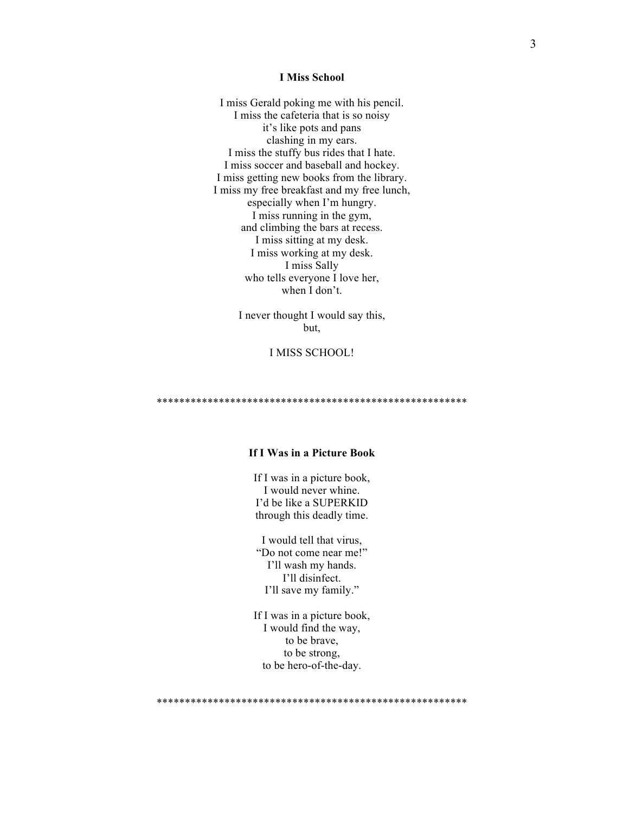#### **I Miss School**

I miss Gerald poking me with his pencil. I miss the cafeteria that is so noisy it's like pots and pans clashing in my ears. I miss the stuffy bus rides that I hate. I miss soccer and baseball and hockey. I miss getting new books from the library. I miss my free breakfast and my free lunch, especially when I'm hungry. I miss running in the gym, and climbing the bars at recess. I miss sitting at my desk. I miss working at my desk. I miss Sally who tells everyone I love her, when I don't.

> I never thought I would say this, but,

## I MISS SCHOOL!

\*\*\*\*\*\*\*\*\*\*\*\*\*\*\*\*\*\*\*\*\*\*\*\*\*\*\*\*\*\*\*\*\*\*\*\*\*\*\*\*\*\*\*\*\*\*\*\*\*\*\*\*\*\*\*

## **If I Was in a Picture Book**

If I was in a picture book, I would never whine. I'd be like a SUPERKID through this deadly time.

I would tell that virus, "Do not come near me!" I'll wash my hands. I'll disinfect. I'll save my family."

If I was in a picture book, I would find the way, to be brave, to be strong, to be hero-of-the-day.

\*\*\*\*\*\*\*\*\*\*\*\*\*\*\*\*\*\*\*\*\*\*\*\*\*\*\*\*\*\*\*\*\*\*\*\*\*\*\*\*\*\*\*\*\*\*\*\*\*\*\*\*\*\*\*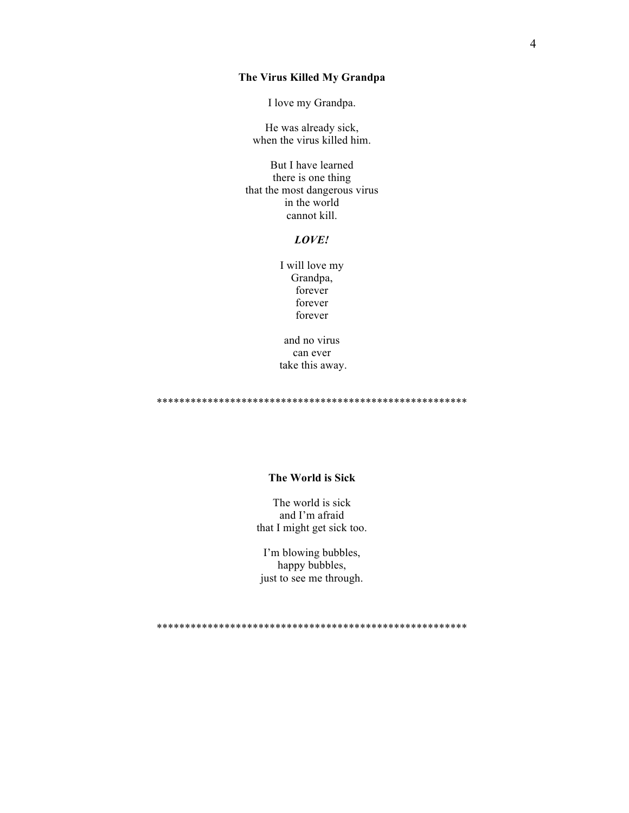## The Virus Killed My Grandpa

I love my Grandpa.

He was already sick, when the virus killed him.

But I have learned there is one thing that the most dangerous virus in the world cannot kill.

# LOVE!

I will love my Grandpa, forever forever forever

and no virus can ever take this away.

### The World is Sick

The world is sick and I'm afraid that I might get sick too.

I'm blowing bubbles, happy bubbles, just to see me through.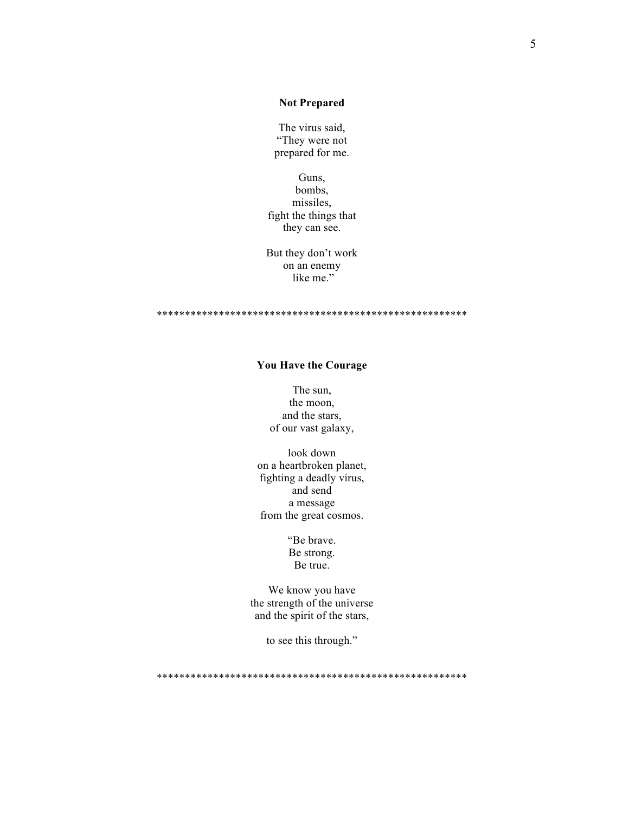## **Not Prepared**

The virus said, "They were not prepared for me.

Guns, bombs, missiles, fight the things that they can see.

But they don't work on an enemy like me."

# You Have the Courage

The sun, the moon, and the stars, of our vast galaxy,

look down on a heartbroken planet, fighting a deadly virus, and send a message from the great cosmos.

> "Be brave. Be strong. Be true.

We know you have the strength of the universe and the spirit of the stars,

to see this through."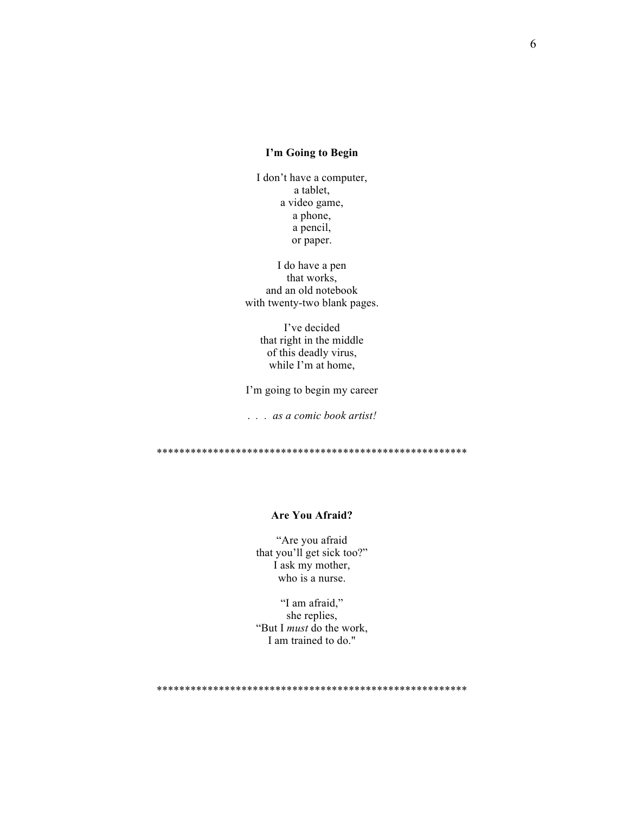## I'm Going to Begin

I don't have a computer, a tablet, a video game, a phone, a pencil, or paper.

I do have a pen that works. and an old notebook with twenty-two blank pages.

> I've decided that right in the middle of this deadly virus, while I'm at home,

I'm going to begin my career

... as a comic book artist!

## **Are You Afraid?**

"Are you afraid that you'll get sick too?" I ask my mother, who is a nurse.

"I am afraid," she replies, "But I *must* do the work, I am trained to do."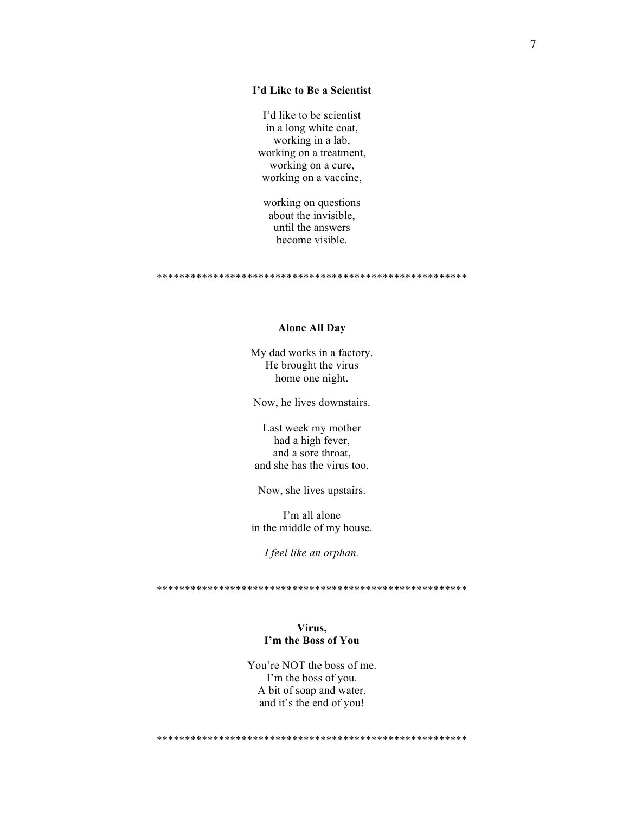## I'd Like to Be a Scientist

I'd like to be scientist in a long white coat, working in a lab, working on a treatment, working on a cure, working on a vaccine,

working on questions about the invisible, until the answers become visible.

### **Alone All Day**

My dad works in a factory. He brought the virus home one night.

Now, he lives downstairs.

Last week my mother had a high fever, and a sore throat. and she has the virus too.

Now, she lives upstairs.

I'm all alone in the middle of my house.

I feel like an orphan.

## Virus, I'm the Boss of You

You're NOT the boss of me. I'm the boss of you. A bit of soap and water, and it's the end of you!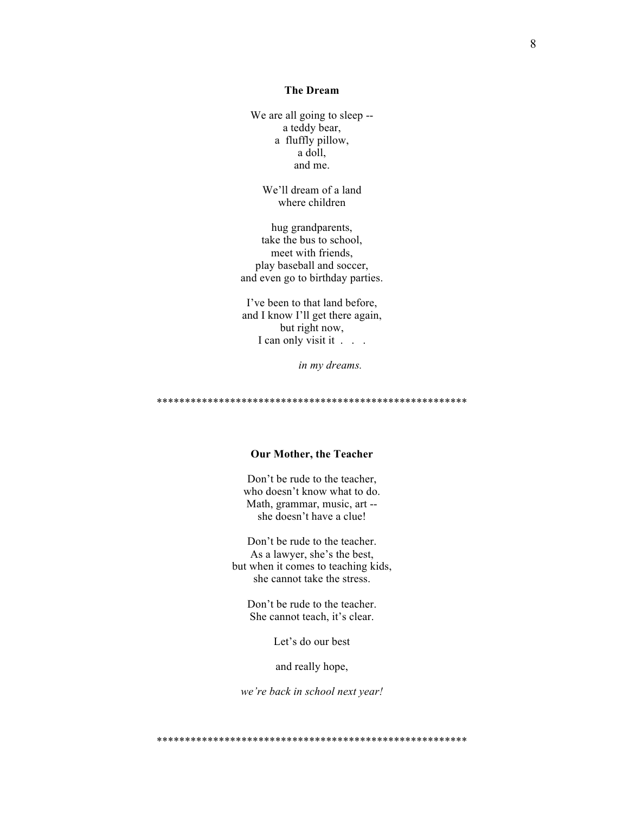## **The Dream**

We are all going to sleep -a teddy bear, a fluffly pillow, a doll, and me.

> We'll dream of a land where children

hug grandparents, take the bus to school, meet with friends, play baseball and soccer, and even go to birthday parties.

I've been to that land before, and I know I'll get there again, but right now, I can only visit it . . .

in my dreams.

### **Our Mother, the Teacher**

Don't be rude to the teacher, who doesn't know what to do. Math, grammar, music, art -she doesn't have a clue!

Don't be rude to the teacher. As a lawyer, she's the best, but when it comes to teaching kids, she cannot take the stress.

Don't be rude to the teacher. She cannot teach, it's clear.

Let's do our best

and really hope,

we're back in school next year!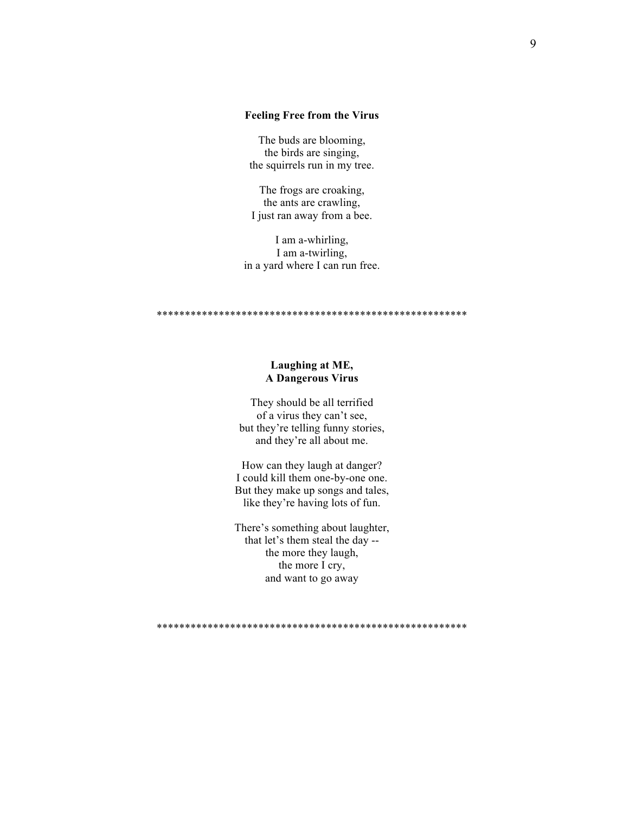## **Feeling Free from the Virus**

The buds are blooming, the birds are singing, the squirrels run in my tree.

The frogs are croaking, the ants are crawling, I just ran away from a bee.

I am a-whirling, I am a-twirling, in a yard where I can run free.

## Laughing at ME, **A Dangerous Virus**

They should be all terrified of a virus they can't see, but they're telling funny stories, and they're all about me.

How can they laugh at danger? I could kill them one-by-one one. But they make up songs and tales, like they're having lots of fun.

There's something about laughter, that let's them steal the day -the more they laugh, the more I cry, and want to go away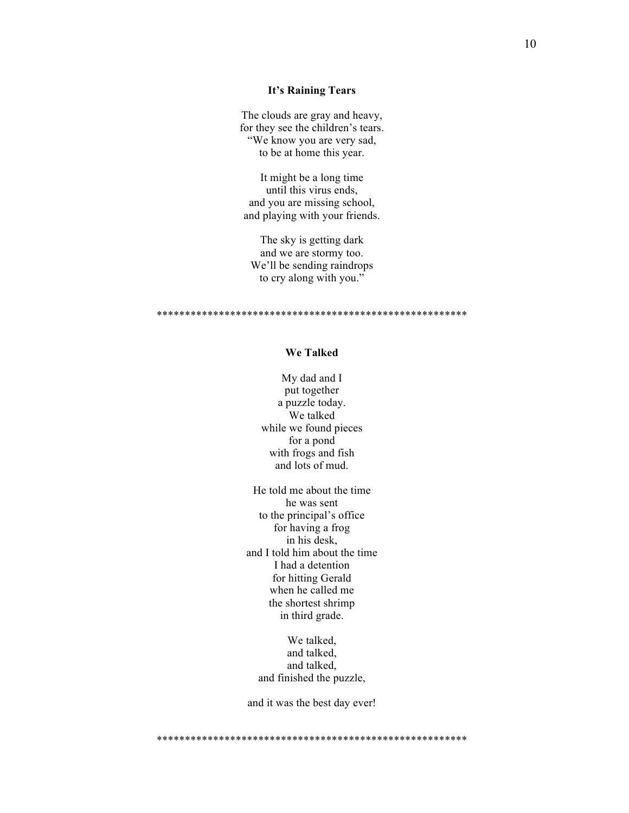## **It's Raining Tears**

The clouds are gray and heavy, for they see the children's tears. "We know you are very sad, to be at home this year.

It might be a long time until this virus ends, and you are missing school, and playing with your friends.

The sky is getting dark and we are stormy too. We'll be sending raindrops to cry along with you."

\*\*\*\*\*\*\*\*\*\*\*\*\*\*\*\*\*\*\*\*\*\*\*\*\*\*\*\*\*\*\*\*\*\*\*\*\*\*\*\*\*\*\*\*\*\*\*\*\*\*\*\*\*\*\*

## **We Talked**

My dad and I put together a puzzle today. We talked while we found pieces for a pond with frogs and fish and lots of mud.

He told me about the time he was sent to the principal's office for having a frog in his desk, and I told him about the time I had a detention for hitting Gerald when he called me the shortest shrimp in third grade.

We talked. and talked, and talked, and finished the puzzle,

and it was the best day ever!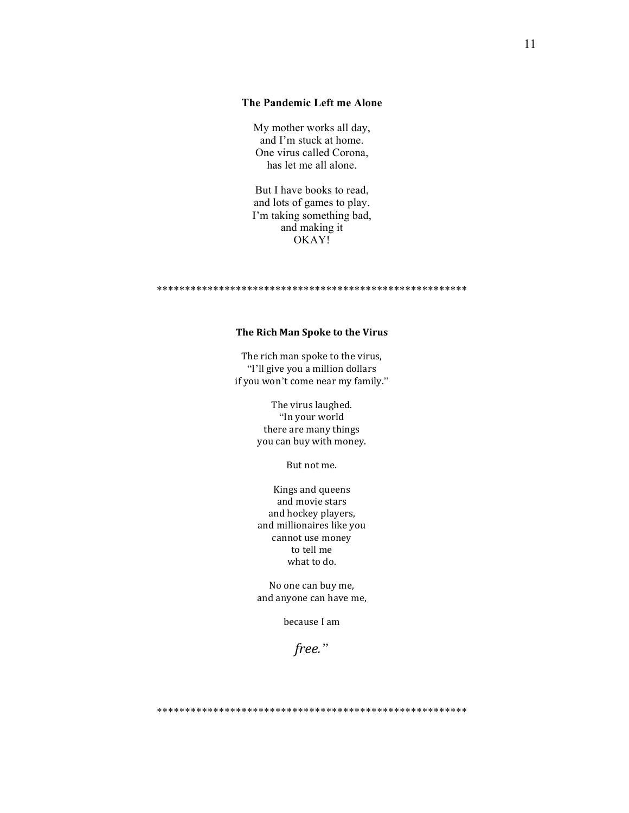## **The Pandemic Left me Alone**

My mother works all day, and I'm stuck at home. One virus called Corona, has let me all alone.

But I have books to read, and lots of games to play. I'm taking something bad, and making it OKAY!

#### \*\*\*\*\*\*\*\*\*\*\*\*\*\*\*\*\*\*\*\*\*\*\*\*\*\*\*\*\*\*\*\*\*\*\*\*\*\*\*\*\*\*\*\*\*\*\*\*\*\*\*\*\*\*\*

### **The Rich Man Spoke to the Virus**

The rich man spoke to the virus, "I'll give you a million dollars if you won't come near my family."

> The virus laughed. "In your world there are many things you can buy with money.

> > But not me.

Kings and queens and movie stars and hockey players, and millionaires like you cannot use money to tell me what to do.

No one can buy me, and anyone can have me,

because I am

*free."*

\*\*\*\*\*\*\*\*\*\*\*\*\*\*\*\*\*\*\*\*\*\*\*\*\*\*\*\*\*\*\*\*\*\*\*\*\*\*\*\*\*\*\*\*\*\*\*\*\*\*\*\*\*\*\*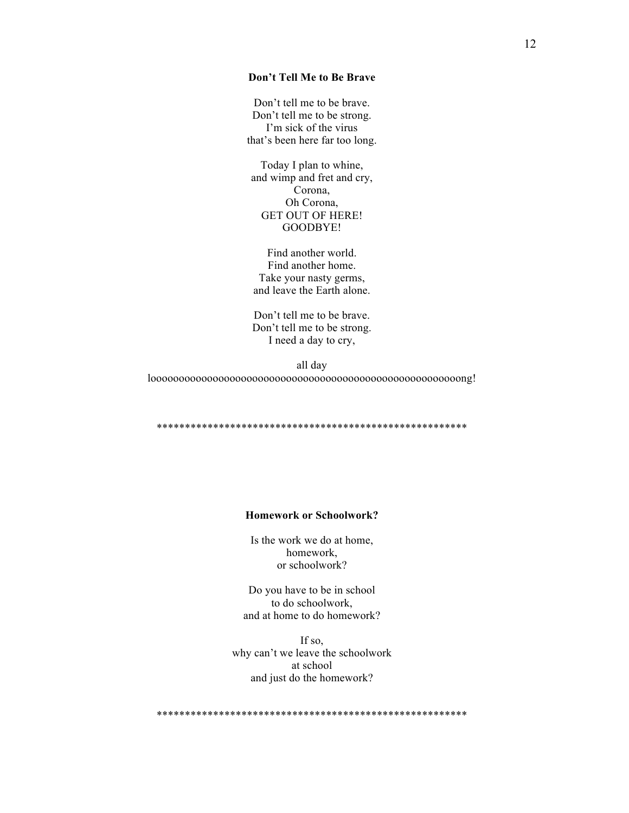## Don't Tell Me to Be Brave

Don't tell me to be brave. Don't tell me to be strong. I'm sick of the virus that's been here far too long.

Today I plan to whine, and wimp and fret and cry, Corona, Oh Corona, **GET OUT OF HERE!** GOODBYE!

Find another world. Find another home. Take your nasty germs, and leave the Earth alone.

Don't tell me to be brave. Don't tell me to be strong. I need a day to cry,

all day  $loooooooooooooooooooooooooooooooooooooooooooooooooooooooooooooooooooooooaa
$$
!
$$$ 

## **Homework or Schoolwork?**

Is the work we do at home, homework, or schoolwork?

Do you have to be in school to do schoolwork, and at home to do homework?

If so. why can't we leave the schoolwork at school and just do the homework?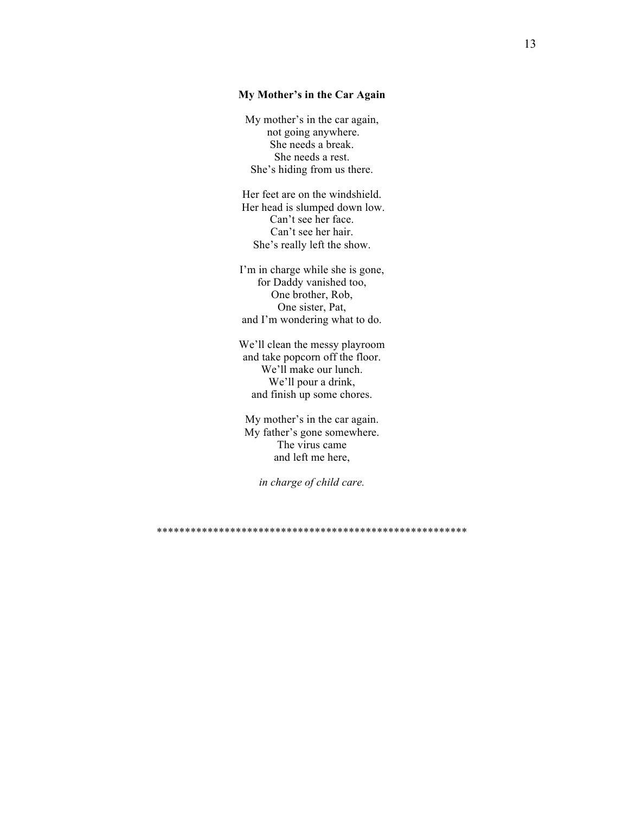### My Mother's in the Car Again

My mother's in the car again, not going anywhere. She needs a break. She needs a rest. She's hiding from us there.

Her feet are on the windshield. Her head is slumped down low. Can't see her face. Can't see her hair. She's really left the show.

I'm in charge while she is gone, for Daddy vanished too, One brother, Rob, One sister, Pat, and I'm wondering what to do.

We'll clean the messy playroom and take popcorn off the floor. We'll make our lunch. We'll pour a drink, and finish up some chores.

My mother's in the car again. My father's gone somewhere. The virus came and left me here,

in charge of child care.